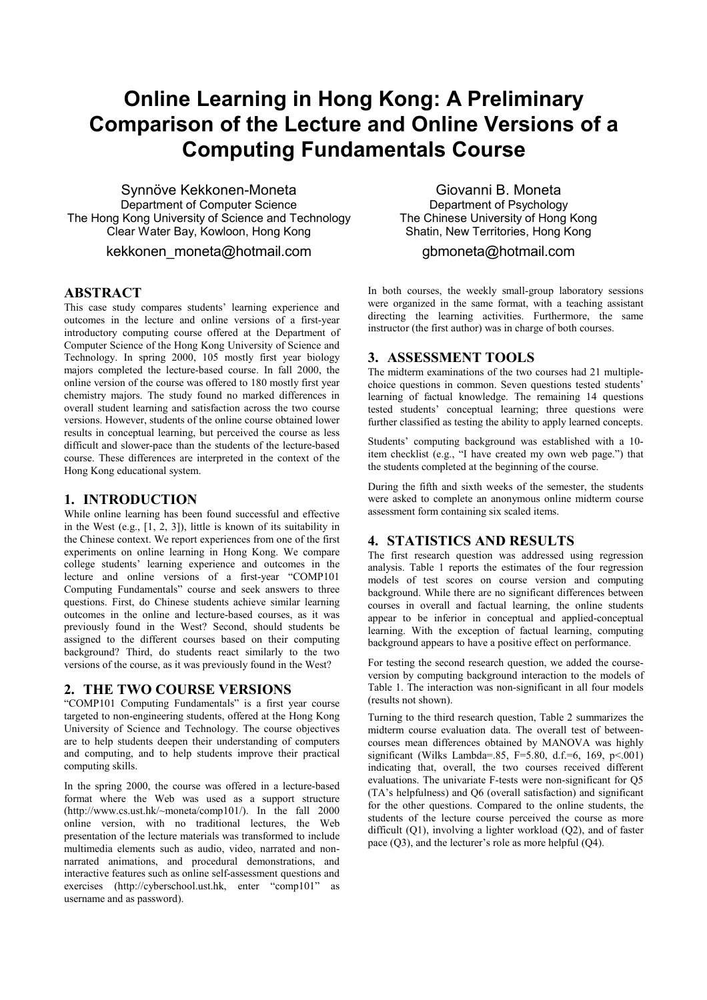# **Online Learning in Hong Kong: A Preliminary Comparison of the Lecture and Online Versions of a Computing Fundamentals Course**

Synnöve Kekkonen-Moneta Department of Computer Science The Hong Kong University of Science and Technology Clear Water Bay, Kowloon, Hong Kong

kekkonen moneta@hotmail.com

### **ABSTRACT**

This case study compares students' learning experience and outcomes in the lecture and online versions of a first-year introductory computing course offered at the Department of Computer Science of the Hong Kong University of Science and Technology. In spring 2000, 105 mostly first year biology majors completed the lecture-based course. In fall 2000, the online version of the course was offered to 180 mostly first year chemistry majors. The study found no marked differences in overall student learning and satisfaction across the two course versions. However, students of the online course obtained lower results in conceptual learning, but perceived the course as less difficult and slower-pace than the students of the lecture-based course. These differences are interpreted in the context of the Hong Kong educational system.

#### **1. INTRODUCTION**

While online learning has been found successful and effective in the West (e.g.,  $[1, 2, 3]$ ), little is known of its suitability in the Chinese context. We report experiences from one of the first experiments on online learning in Hong Kong. We compare college students' learning experience and outcomes in the lecture and online versions of a first-year "COMP101 Computing Fundamentals" course and seek answers to three questions. First, do Chinese students achieve similar learning outcomes in the online and lecture-based courses, as it was previously found in the West? Second, should students be assigned to the different courses based on their computing background? Third, do students react similarly to the two versions of the course, as it was previously found in the West?

## **2. THE TWO COURSE VERSIONS**

"COMP101 Computing Fundamentals" is a first year course targeted to non-engineering students, offered at the Hong Kong University of Science and Technology. The course objectives are to help students deepen their understanding of computers and computing, and to help students improve their practical computing skills.

In the spring 2000, the course was offered in a lecture-based format where the Web was used as a support structure  $(http://www.cs.ust.hk/~moneta/comp101/).$  In the fall 2000 online version, with no traditional lectures, the Web presentation of the lecture materials was transformed to include multimedia elements such as audio, video, narrated and nonnarrated animations, and procedural demonstrations, and interactive features such as online self-assessment questions and exercises (http://cyberschool.ust.hk, enter "comp101" as username and as password).

Giovanni B. Moneta Department of Psychology The Chinese University of Hong Kong Shatin, New Territories, Hong Kong

# gbmoneta@hotmail.com

In both courses, the weekly small-group laboratory sessions were organized in the same format, with a teaching assistant directing the learning activities. Furthermore, the same instructor (the first author) was in charge of both courses.

# **3. ASSESSMENT TOOLS**

The midterm examinations of the two courses had 21 multiplechoice questions in common. Seven questions tested students' learning of factual knowledge. The remaining 14 questions tested students' conceptual learning; three questions were further classified as testing the ability to apply learned concepts.

Students' computing background was established with a 10 item checklist (e.g., "I have created my own web page.") that the students completed at the beginning of the course.

During the fifth and sixth weeks of the semester, the students were asked to complete an anonymous online midterm course assessment form containing six scaled items.

## **4. STATISTICS AND RESULTS**

The first research question was addressed using regression analysis. Table 1 reports the estimates of the four regression models of test scores on course version and computing background. While there are no significant differences between courses in overall and factual learning, the online students appear to be inferior in conceptual and applied-conceptual learning. With the exception of factual learning, computing background appears to have a positive effect on performance.

For testing the second research question, we added the courseversion by computing background interaction to the models of Table 1. The interaction was non-significant in all four models (results not shown).

Turning to the third research question, Table 2 summarizes the midterm course evaluation data. The overall test of betweencourses mean differences obtained by MANOVA was highly significant (Wilks Lambda=.85, F=5.80, d.f.=6, 169,  $p < 0.01$ ) indicating that, overall, the two courses received different evaluations. The univariate F-tests were non-significant for Q5 (TA's helpfulness) and Q6 (overall satisfaction) and significant for the other questions. Compared to the online students, the students of the lecture course perceived the course as more difficult (Q1), involving a lighter workload (Q2), and of faster pace (Q3), and the lecturer's role as more helpful (Q4).